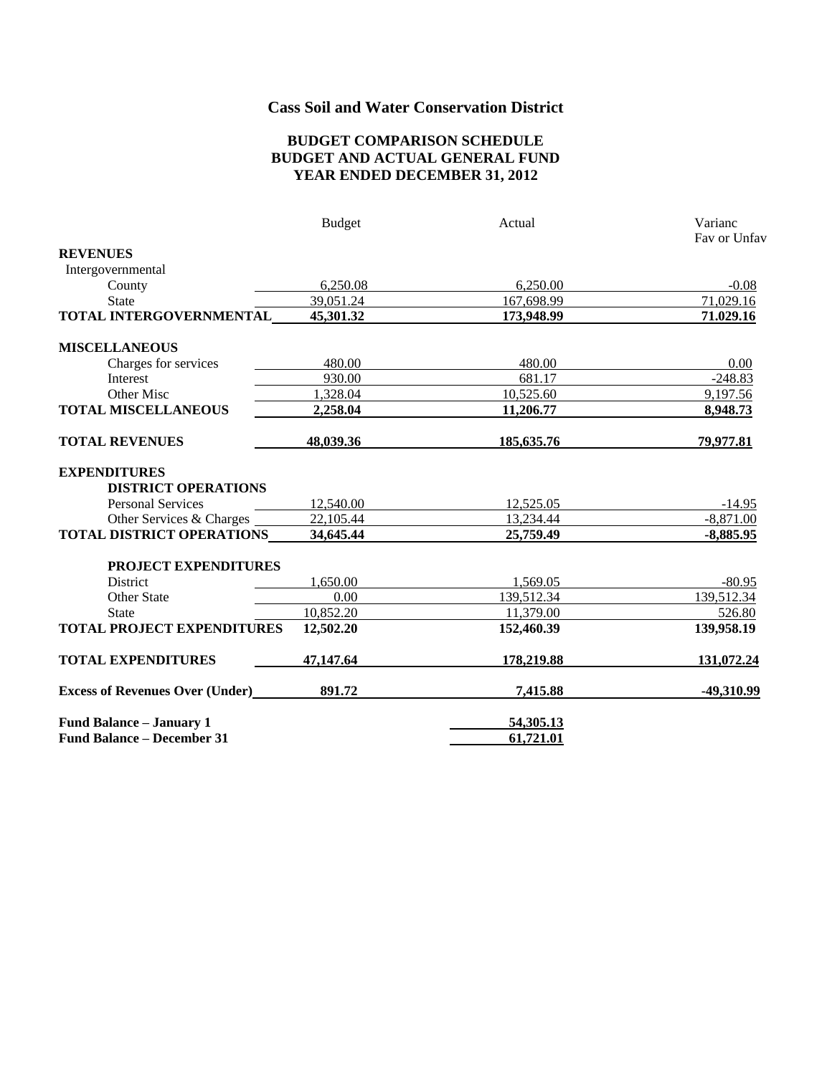# **Cass Soil and Water Conservation District**

#### **BUDGET COMPARISON SCHEDULE BUDGET AND ACTUAL GENERAL FUND YEAR ENDED DECEMBER 31, 2012**

|                                        | <b>Budget</b> | Actual     | Varianc<br>Fay or Unfay |
|----------------------------------------|---------------|------------|-------------------------|
| <b>REVENUES</b>                        |               |            |                         |
| Intergovernmental                      |               |            |                         |
| County                                 | 6,250.08      | 6,250.00   | $-0.08$                 |
| <b>State</b>                           | 39,051.24     | 167,698.99 | 71,029.16               |
| TOTAL INTERGOVERNMENTAL                | 45,301.32     | 173,948.99 | 71.029.16               |
| <b>MISCELLANEOUS</b>                   |               |            |                         |
| Charges for services                   | 480.00        | 480.00     | 0.00                    |
| Interest                               | 930.00        | 681.17     | $-248.83$               |
| Other Misc                             | 1,328.04      | 10,525.60  | 9,197.56                |
| <b>TOTAL MISCELLANEOUS</b>             | 2,258.04      | 11,206.77  | 8,948.73                |
| <b>TOTAL REVENUES</b>                  | 48,039.36     | 185,635.76 | 79,977.81               |
| <b>EXPENDITURES</b>                    |               |            |                         |
| <b>DISTRICT OPERATIONS</b>             |               |            |                         |
| <b>Personal Services</b>               | 12,540.00     | 12,525.05  | $-14.95$                |
| Other Services & Charges               | 22,105.44     | 13,234.44  | $-8,871.00$             |
| <b>TOTAL DISTRICT OPERATIONS</b>       | 34,645.44     | 25,759.49  | $-8,885.95$             |
| PROJECT EXPENDITURES                   |               |            |                         |
| District                               | 1,650.00      | 1,569.05   | $-80.95$                |
| Other State                            | 0.00          | 139,512.34 | 139,512.34              |
| <b>State</b>                           | 10,852.20     | 11,379.00  | 526.80                  |
| <b>TOTAL PROJECT EXPENDITURES</b>      | 12,502.20     | 152,460.39 | 139,958.19              |
| <b>TOTAL EXPENDITURES</b>              | 47,147.64     | 178,219.88 | 131,072.24              |
| <b>Excess of Revenues Over (Under)</b> | 891.72        | 7,415.88   | -49,310.99              |
| Fund Balance - January 1               |               | 54,305.13  |                         |
| <b>Fund Balance - December 31</b>      |               | 61,721.01  |                         |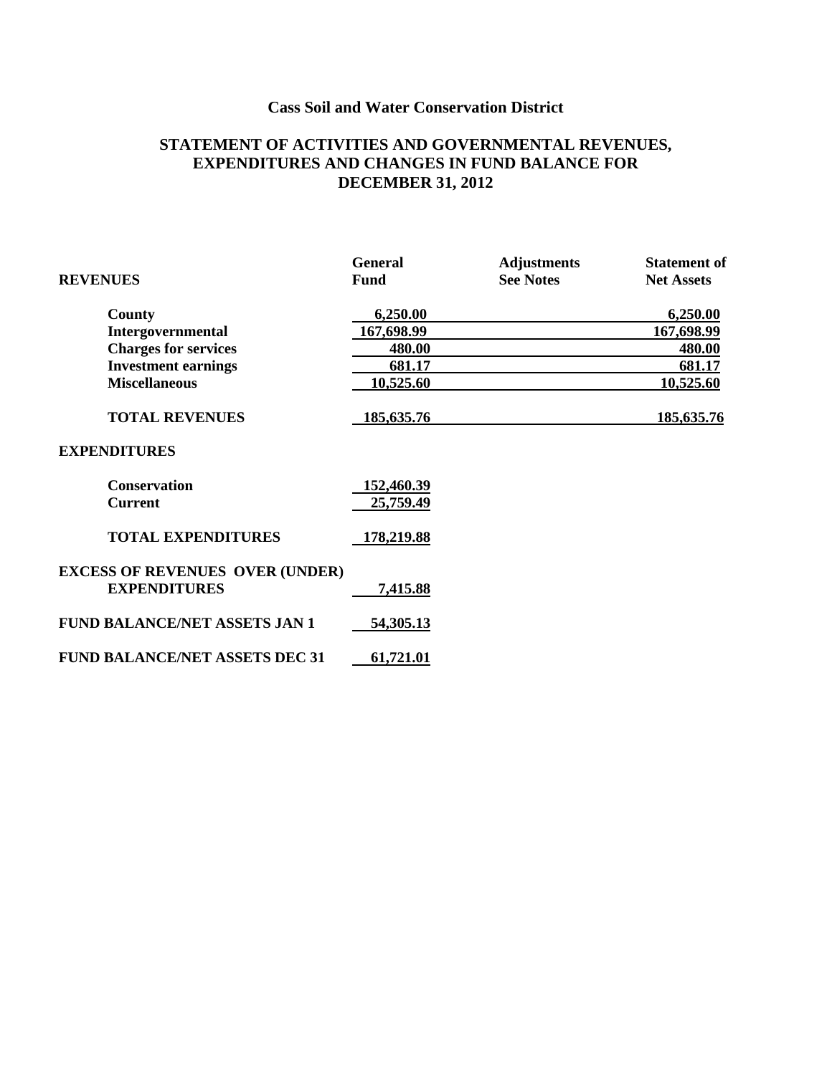# **Cass Soil and Water Conservation District**

### **STATEMENT OF ACTIVITIES AND GOVERNMENTAL REVENUES, EXPENDITURES AND CHANGES IN FUND BALANCE FOR DECEMBER 31, 2012**

|                                                               | <b>General</b> | <b>Adjustments</b> | <b>Statement of</b> |
|---------------------------------------------------------------|----------------|--------------------|---------------------|
| <b>REVENUES</b>                                               | <b>Fund</b>    | <b>See Notes</b>   | <b>Net Assets</b>   |
| County                                                        | 6,250.00       |                    | 6,250.00            |
| Intergovernmental                                             | 167,698.99     |                    | 167,698.99          |
| <b>Charges for services</b>                                   | 480.00         |                    | 480.00              |
| <b>Investment earnings</b>                                    | 681.17         |                    | 681.17              |
| <b>Miscellaneous</b>                                          | 10,525.60      |                    | 10,525.60           |
| <b>TOTAL REVENUES</b>                                         | 185,635.76     |                    | 185, 635. 76        |
| <b>EXPENDITURES</b>                                           |                |                    |                     |
| <b>Conservation</b>                                           | 152,460.39     |                    |                     |
| <b>Current</b>                                                | 25,759.49      |                    |                     |
| <b>TOTAL EXPENDITURES</b>                                     | 178,219.88     |                    |                     |
| <b>EXCESS OF REVENUES OVER (UNDER)</b><br><b>EXPENDITURES</b> | 7,415.88       |                    |                     |
| <b>FUND BALANCE/NET ASSETS JAN 1</b>                          | 54,305.13      |                    |                     |
| <b>FUND BALANCE/NET ASSETS DEC 31</b>                         | 61,721.01      |                    |                     |